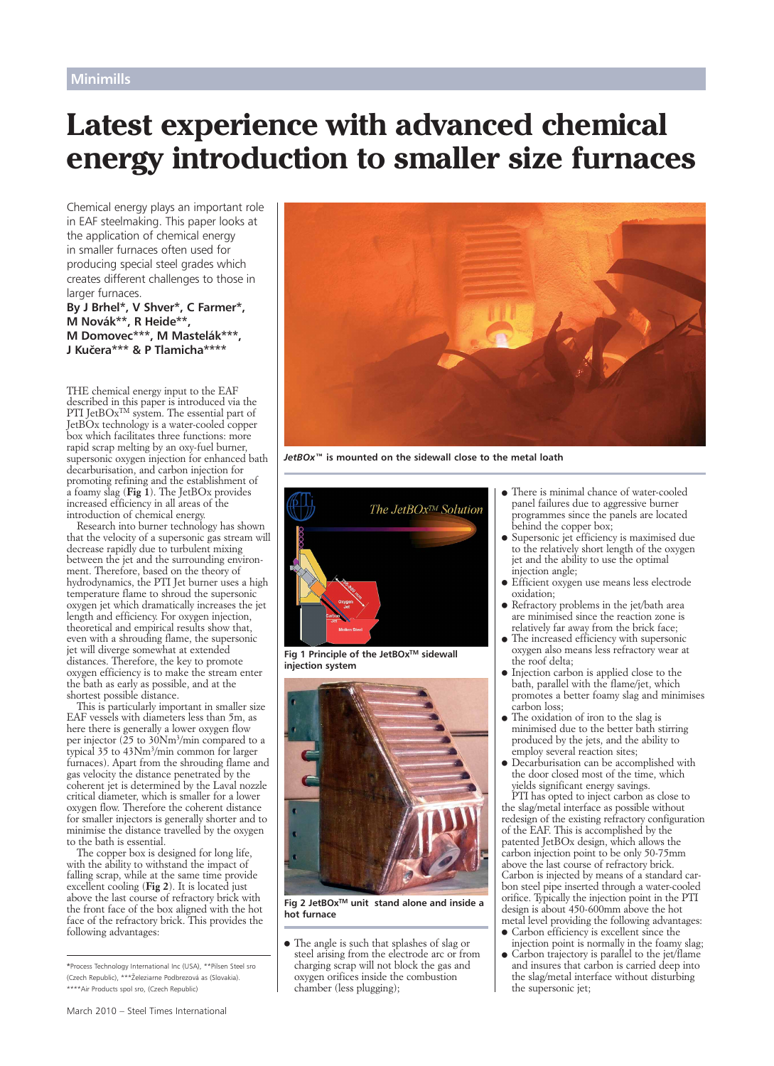# **Latest experience with advanced chemical energy introduction to smaller size furnaces**

Chemical energy plays an important role in EAF steelmaking. This paper looks at the application of chemical energy in smaller furnaces often used for producing special steel grades which creates different challenges to those in larger furnaces.

**By J Brhel\*, V Shver\*, C Farmer\*, M Novák\*\*, R Heide\*\*, M Domovec\*\*\*, M Mastelák\*\*\*, J Kuc˘era\*\*\* & P Tlamicha\*\*\*\*** 

*THE chemical energy input to the EAF described in this paper is introduced via the PTI JetBOxTM system. The essential part of JetBOx technology is a water-cooled copper box which facilitates three functions: more rapid scrap melting by an oxy-fuel burner, supersonic oxygen injection for enhanced bath decarburisation, and carbon injection for promoting refining and the establishment of a foamy slag (Fig 1). The JetBOx provides increased efficiency in all areas of the introduction of chemical energy.* 

*Research into burner technology has shown that the velocity of a supersonic gas stream will decrease rapidly due to turbulent mixing between the jet and the surrounding environment. Therefore, based on the theory of hydrodynamics, the PTI Jet burner uses a high temperature flame to shroud the supersonic oxygen jet which dramatically increases the jet length and efficiency. For oxygen injection, theoretical and empirical results show that, even with a shrouding flame, the supersonic jet will diverge somewhat at extended distances. Therefore, the key to promote oxygen efficiency is to make the stream enter the bath as early as possible, and at the shortest possible distance.* 

*This is particularly important in smaller size EAF vessels with diameters less than 5m, as here there is generally a lower oxygen flow per injector (25 to 30Nm3/min compared to a typical 35 to 43Nm3/min common for larger furnaces). Apart from the shrouding flame and gas velocity the distance penetrated by the coherent jet is determined by the Laval nozzle critical diameter, which is smaller for a lower oxygen flow. Therefore the coherent distance for smaller injectors is generally shorter and to minimise the distance travelled by the oxygen to the bath is essential.* 

*The copper box is designed for long life, with the ability to withstand the impact of falling scrap, while at the same time provide excellent cooling (Fig 2). It is located just above the last course of refractory brick with the front face of the box aligned with the hot face of the refractory brick. This provides the following advantages:*

**\***Process Technology International Inc (USA), \*\*Pilsen Steel sro (Czech Republic), \*\*\*Z˘eleziarne Podbrezová as (Slovakia). \*\*\*\*Air Products spol sro, (Czech Republic)



*JetBOx™* **is mounted on the sidewall close to the metal loath**



**Fig 1 Principle of the JetBOxTM sidewall injection system**



**Fig 2 JetBOxTM unit stand alone and inside a hot furnace**

- *The angle is such that splashes of slag or steel arising from the electrode arc or from charging scrap will not block the gas and oxygen orifices inside the combustion chamber (less plugging);*

- *There is minimal chance of water-cooled panel failures due to aggressive burner programmes since the panels are located behind the copper box;*
- *Supersonic jet efficiency is maximised due to the relatively short length of the oxygen jet and the ability to use the optimal injection angle;*
- *Efficient oxygen use means less electrode oxidation;*
- *Refractory problems in the jet/bath area are minimised since the reaction zone is relatively far away from the brick face;*
- $\bullet$  *The increased efficiency with supersonic oxygen also means less refractory wear at the roof delta;*
- $\bullet$  *Injection carbon is applied close to the bath, parallel with the flame/jet, which promotes a better foamy slag and minimises carbon loss;*
- *The oxidation of iron to the slag is minimised due to the better bath stirring produced by the jets, and the ability to employ several reaction sites;*
- $\bullet$  *Decarburisation can be accomplished with the door closed most of the time, which yields significant energy savings.*

*PTI has opted to inject carbon as close to the slag/metal interface as possible without redesign of the existing refractory configuration of the EAF. This is accomplished by the patented JetBOx design, which allows the carbon injection point to be only 50-75mm above the last course of refractory brick. Carbon is injected by means of a standard carbon steel pipe inserted through a water-cooled orifice. Typically the injection point in the PTI design is about 450-600mm above the hot metal level providing the following advantages:*

- *Carbon efficiency is excellent since the injection point is normally in the foamy slag;*
- *Carbon trajectory is parallel to the jet/flame and insures that carbon is carried deep into the slag/metal interface without disturbing the supersonic jet;*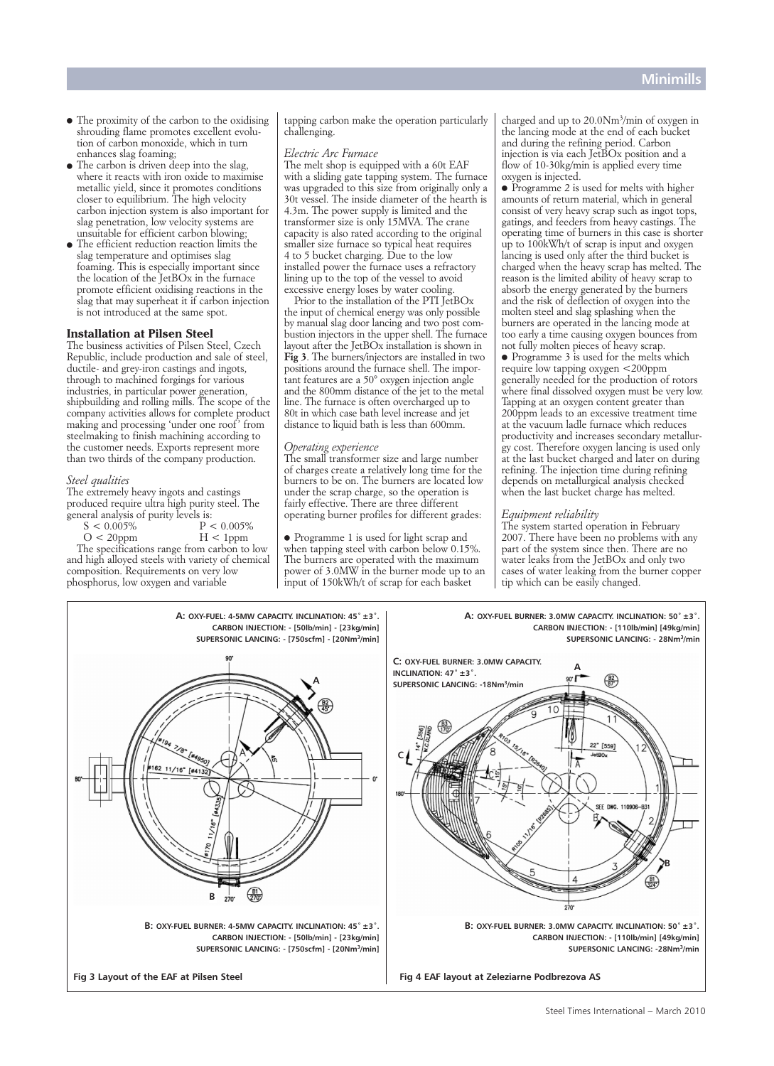- *The proximity of the carbon to the oxidising shrouding flame promotes excellent evolution of carbon monoxide, which in turn enhances slag foaming;*
- *The carbon is driven deep into the slag, where it reacts with iron oxide to maximise metallic yield, since it promotes conditions closer to equilibrium. The high velocity carbon injection system is also important for slag penetration, low velocity systems are unsuitable for efficient carbon blowing;*
- *The efficient reduction reaction limits the slag temperature and optimises slag foaming. This is especially important since the location of the JetBOx in the furnace promote efficient oxidising reactions in the slag that may superheat it if carbon injection is not introduced at the same spot.*

# **Installation at Pilsen Steel**

*The business activities of Pilsen Steel, Czech Republic, include production and sale of steel, ductile- and grey-iron castings and ingots, through to machined forgings for various industries, in particular power generation, shipbuilding and rolling mills. The scope of the company activities allows for complete product making and processing 'under one roof ' from steelmaking to finish machining according to the customer needs. Exports represent more than two thirds of the company production.* 

#### *Steel qualities*

*The extremely heavy ingots and castings produced require ultra high purity steel. The general analysis of purity levels is:*

*S < 0.005% P < 0.005%* 

 $O < 20$ ppm *The specifications range from carbon to low and high alloyed steels with variety of chemical composition. Requirements on very low phosphorus, low oxygen and variable* 

*tapping carbon make the operation particularly challenging.*

# *Electric Arc Furnace*

*The melt shop is equipped with a 60t EAF with a sliding gate tapping system. The furnace was upgraded to this size from originally only a 30t vessel. The inside diameter of the hearth is 4.3m. The power supply is limited and the transformer size is only 15MVA. The crane capacity is also rated according to the original smaller size furnace so typical heat requires 4 to 5 bucket charging. Due to the low installed power the furnace uses a refractory lining up to the top of the vessel to avoid excessive energy loses by water cooling.*

*Prior to the installation of the PTI JetBOx the input of chemical energy was only possible by manual slag door lancing and two post combustion injectors in the upper shell. The furnace layout after the JetBOx installation is shown in Fig 3. The burners/injectors are installed in two positions around the furnace shell. The important features are a 50° oxygen injection angle and the 800mm distance of the jet to the metal line. The furnace is often overcharged up to 80t in which case bath level increase and jet distance to liquid bath is less than 600mm.*

# *Operating experience*

*The small transformer size and large number of charges create a relatively long time for the burners to be on. The burners are located low under the scrap charge, so the operation is fairly effective. There are three different operating burner profiles for different grades:*

- *Programme 1 is used for light scrap and when tapping steel with carbon below 0.15%. The burners are operated with the maximum power of 3.0MW in the burner mode up to an input of 150kWh/t of scrap for each basket*

*charged and up to 20.0Nm3/min of oxygen in the lancing mode at the end of each bucket and during the refining period. Carbon injection is via each JetBOx position and a flow of 10-30kg/min is applied every time oxygen is injected.*

- *Programme 2 is used for melts with higher amounts of return material, which in general consist of very heavy scrap such as ingot tops, gatings, and feeders from heavy castings. The operating time of burners in this case is shorter up to 100kWh/t of scrap is input and oxygen lancing is used only after the third bucket is charged when the heavy scrap has melted. The reason is the limited ability of heavy scrap to absorb the energy generated by the burners and the risk of deflection of oxygen into the molten steel and slag splashing when the burners are operated in the lancing mode at too early a time causing oxygen bounces from not fully molten pieces of heavy scrap.*

- *Programme 3 is used for the melts which require low tapping oxygen <200ppm generally needed for the production of rotors where final dissolved oxygen must be very low. Tapping at an oxygen content greater than 200ppm leads to an excessive treatment time at the vacuum ladle furnace which reduces productivity and increases secondary metallurgy cost. Therefore oxygen lancing is used only at the last bucket charged and later on during refining. The injection time during refining depends on metallurgical analysis checked when the last bucket charge has melted.*

## *Equipment reliability*

*The system started operation in February 2007. There have been no problems with any part of the system since then. There are no water leaks from the JetBOx and only two cases of water leaking from the burner copper tip which can be easily changed.*